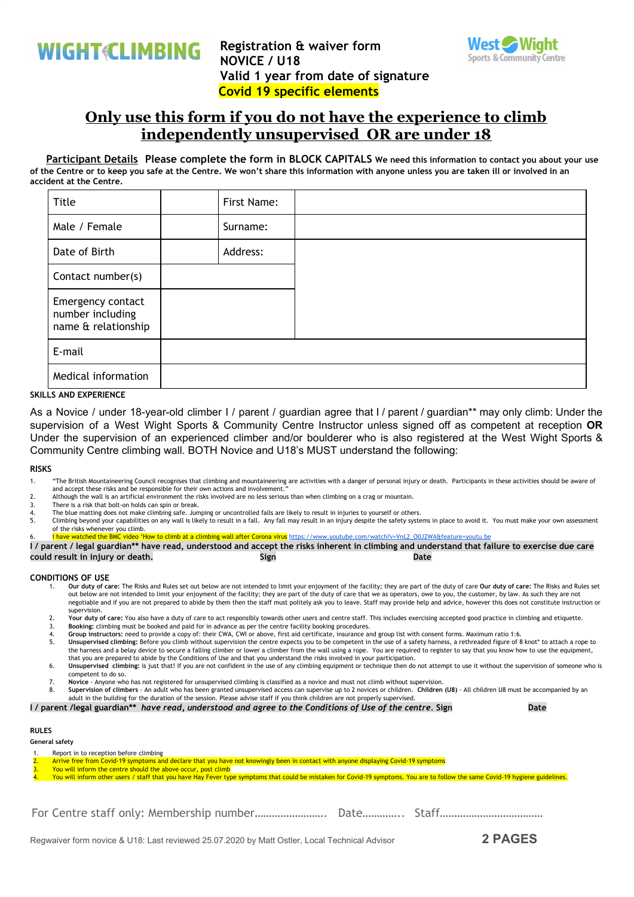

**Registration & waiver form NOVICE / U18 Valid 1 year from date of signature Covid 19 specific elements**



## **Only use this form if you do not have the experience to climb independently unsupervised OR are under 18**

Participant Details Please complete the form in BLOCK CAPITALS We need this information to contact you about your use of the Centre or to keep you safe at the Centre. We won't share this information with anyone unless you are taken ill or involved in an **accident at the Centre.**

| Title                                                        |  | First Name: |  |
|--------------------------------------------------------------|--|-------------|--|
| Male / Female                                                |  | Surname:    |  |
| Date of Birth                                                |  | Address:    |  |
| Contact number(s)                                            |  |             |  |
| Emergency contact<br>number including<br>name & relationship |  |             |  |
| E-mail                                                       |  |             |  |
| Medical information                                          |  |             |  |

#### **SKILLS AND EXPERIENCE**

As a Novice / under 18-year-old climber I / parent / guardian agree that I / parent / guardian\*\* may only climb: Under the supervision of a West Wight Sports & Community Centre Instructor unless signed off as competent at reception **OR** Under the supervision of an experienced climber and/or boulderer who is also registered at the West Wight Sports & Community Centre climbing wall. BOTH Novice and U18's MUST understand the following:

#### **RISKS**

- 1. "The British Mountaineering Council recognises that climbing and mountaineering are activities with a danger of personal injury or death. Participants in these activities should be aware of and accept these risks and be responsible for their own actions and involvement.
- 2. Although the wall is an artificial environment the risks involved are no less serious than when climbing on a crag or mountain.
- There is a risk that bolt-on holds can spin or break.
- 4. The blue matting does not make climbing safe. Jumping or uncontrolled falls are likely to result in injuries to yourself or others.<br>5. Climbing beyond your capabilities on any wall is likely to result in a fall. Any fal
- 5. Climbing beyond your capabilities on any wall is likely to result in a fall. Any fall may result in an injury despite the safety systems in place to avoid it. You must make your own assessment of the risks whenever you climb.
- watched the BMC video 'How to climb at a climbing wall after Corona virus https://www.youtube.com/watch?v=VnL2\_O0J2WA&feature

I / parent / legal guardian\*\* have read, understood and accept the risks inherent in climbing and understand that failure to exercise due care **could result in injury or death. Sign Date**

#### **CONDITIONS OF USE**

- 1. **Our duty of care:** The Risks and Rules set out below are not intended to limit your enjoyment of the facility; they are part of the duty of care **Our duty of care:** The Risks and Rules set out below are not intended to limit your enjoyment of the facility; they are part of the duty of care that we as operators, owe to you, the customer, by law. As such they are not negotiable and if you are not prepared to abide by them then the staff must politely ask you to leave. Staff may provide help and advice, however this does not constitute instruction or supervision.
- 2. **Your duty of care:** You also have a duty of care to act responsibly towards other users and centre staff. This includes exercising accepted good practice in climbing and etiquette.
- 3. **Booking:** climbing must be booked and paid for in advance as per the centre facility booking procedures.
- 4. **Group instructors:** need to provide a copy of: their CWA, CWI or above, first aid certificate, insurance and group list with consent forms. Maximum ratio 1:6. 5. **Unsupervised climbing:** Before you climb without supervision the centre expects you to be competent in the use of a safety harness, a rethreaded figure of 8 knot\* to attach a rope to the harness and a belay device to secure a falling climber or lower a climber from the wall using a rope. You are required to register to say that you know how to use the equipment,
- that you are prepared to abide by the Conditions of Use and that you understand the risks involved in your participation. 6. **Unsupervised climbing:** is just that! If you are not confident in the use of any climbing equipment or technique then do not attempt to use it without the supervision of someone who is competent to do so.
- 7. **Novice**  Anyone who has not registered for unsupervised climbing is classified as a novice and must not climb without supervision.
- 8. **Supervision of climbers** An adult who has been granted unsupervised access can supervise up to 2 novices or children. **Children (U8)** All children U8 must be accompanied by an adult in the building for the duration of the session. Please advise staff if you think children are not properly supervised.

I / parent /legal guardian\*\* have read, understood and agree to the Conditions of Use of the centre. Sign The Mome

### **RULES**

**General safety**

- Report in to reception before climbing
- 2. Arrive free from Covid-19 symptoms and declare that you have not knowingly been in contact with anyone displaying Covid-19 symptoms
- You will inform the centre should the above occur, post climb
- You will inform other users / staff that you have Hay Fever type symptoms that could be mistaken for Covid-19 symptoms. You are to follow the same Covid-19 hygiene guidelines.
- For Centre staff only: Membership number……………………. Date………….. Staff………………………………